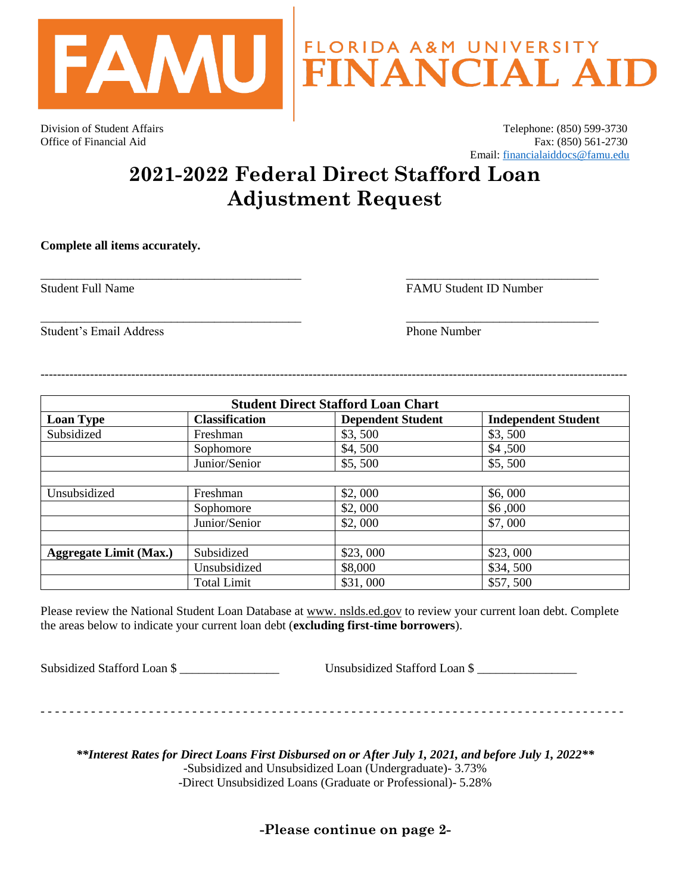

Division of Student Affairs Telephone: (850) 599-3730 Office of Financial Aid Fax: (850) 561-2730 Email: [financialaiddocs@famu.edu](mailto:financialaiddocs@famu.edu)

## **2021-2022 Federal Direct Stafford Loan Adjustment Request**

\_\_\_\_\_\_\_\_\_\_\_\_\_\_\_\_\_\_\_\_\_\_\_\_\_\_\_\_\_\_\_\_\_\_\_\_\_\_\_\_\_\_ \_\_\_\_\_\_\_\_\_\_\_\_\_\_\_\_\_\_\_\_\_\_\_\_\_\_\_\_\_\_\_

\_\_\_\_\_\_\_\_\_\_\_\_\_\_\_\_\_\_\_\_\_\_\_\_\_\_\_\_\_\_\_\_\_\_\_\_\_\_\_\_\_\_ \_\_\_\_\_\_\_\_\_\_\_\_\_\_\_\_\_\_\_\_\_\_\_\_\_\_\_\_\_\_\_

**Complete all items accurately.** 

Student Full Name **FAMU** Student ID Number

Student's Email Address **Phone Number** Phone Number

| <b>Student Direct Stafford Loan Chart</b> |                       |                          |                            |  |
|-------------------------------------------|-----------------------|--------------------------|----------------------------|--|
| <b>Loan Type</b>                          | <b>Classification</b> | <b>Dependent Student</b> | <b>Independent Student</b> |  |
| Subsidized                                | Freshman              | \$3,500                  | \$3,500                    |  |
|                                           | Sophomore             | \$4,500                  | \$4,500                    |  |
|                                           | Junior/Senior         | \$5,500                  | \$5,500                    |  |
|                                           |                       |                          |                            |  |
| Unsubsidized                              | Freshman              | \$2,000                  | \$6,000                    |  |
|                                           | Sophomore             | \$2,000                  | \$6,000                    |  |
|                                           | Junior/Senior         | \$2,000                  | \$7,000                    |  |
|                                           |                       |                          |                            |  |
| <b>Aggregate Limit (Max.)</b>             | Subsidized            | \$23,000                 | \$23,000                   |  |
|                                           | Unsubsidized          | \$8,000                  | \$34,500                   |  |
|                                           | <b>Total Limit</b>    | \$31,000                 | \$57,500                   |  |

----------------------------------------------------------------------------------------------------------------------------------------------

Please review the National Student Loan Database at www. nslds.ed.gov to review your current loan debt. Complete the areas below to indicate your current loan debt (**excluding first-time borrowers**).

Subsidized Stafford Loan \$

- - - - - - - - - - - - - - - - - - - - - - - - - - - - - - - - - - - - - - - - - - - - - - - - - - - - - - - - - - - - - - - - - - - - - - - - - - - - - - - - -

*\*\*Interest Rates for Direct Loans First Disbursed on or After July 1, 2021, and before July 1, 2022\*\** -Subsidized and Unsubsidized Loan (Undergraduate)- 3.73% -Direct Unsubsidized Loans (Graduate or Professional)- 5.28%

**-Please continue on page 2-**